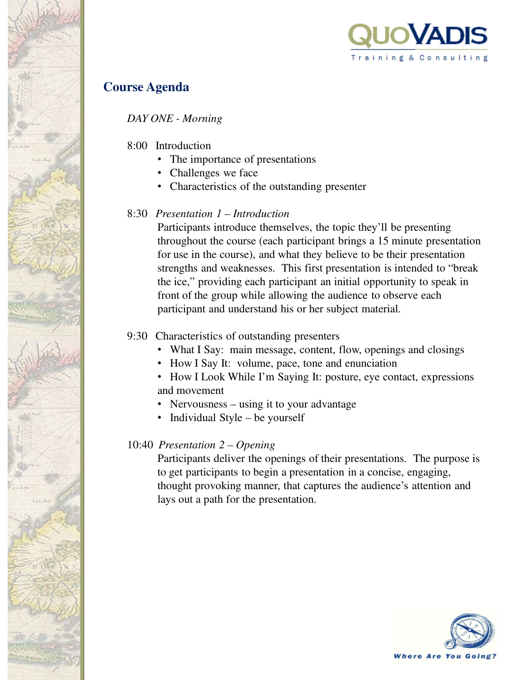

# **Course Agenda**

*DAY ONE - Morning*

- 8:00 Introduction
	- The importance of presentations
	- Challenges we face
	- Characteristics of the outstanding presenter

## 8:30 *Presentation 1 – Introduction*

Participants introduce themselves, the topic they'll be presenting throughout the course (each participant brings a 15 minute presentation for use in the course), and what they believe to be their presentation strengths and weaknesses. This first presentation is intended to "break the ice," providing each participant an initial opportunity to speak in front of the group while allowing the audience to observe each participant and understand his or her subject material.

## 9:30 Characteristics of outstanding presenters

- What I Say: main message, content, flow, openings and closings
- How I Say It: volume, pace, tone and enunciation
- How I Look While I'm Saying It: posture, eye contact, expressions and movement
- Nervousness using it to your advantage
- Individual Style be yourself

## 10:40 *Presentation 2 – Opening*

Participants deliver the openings of their presentations. The purpose is to get participants to begin a presentation in a concise, engaging, thought provoking manner, that captures the audience's attention and lays out a path for the presentation.

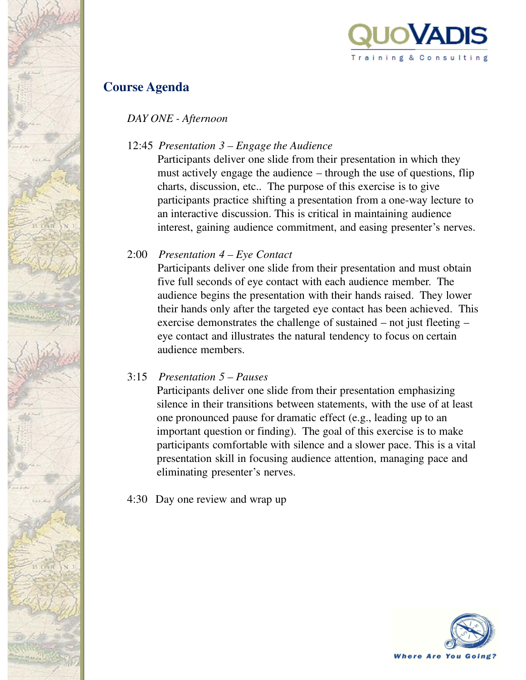

## **Course Agenda**

*DAY ONE - Afternoon*

## 12:45 *Presentation 3 – Engage the Audience*

Participants deliver one slide from their presentation in which they must actively engage the audience – through the use of questions, flip charts, discussion, etc.. The purpose of this exercise is to give participants practice shifting a presentation from a one-way lecture to an interactive discussion. This is critical in maintaining audience interest, gaining audience commitment, and easing presenter's nerves.

## 2:00 *Presentation 4 – Eye Contact*

Participants deliver one slide from their presentation and must obtain five full seconds of eye contact with each audience member. The audience begins the presentation with their hands raised. They lower their hands only after the targeted eye contact has been achieved. This exercise demonstrates the challenge of sustained – not just fleeting – eye contact and illustrates the natural tendency to focus on certain audience members.

## 3:15 *Presentation 5 – Pauses*

Participants deliver one slide from their presentation emphasizing silence in their transitions between statements, with the use of at least one pronounced pause for dramatic effect (e.g., leading up to an important question or finding). The goal of this exercise is to make participants comfortable with silence and a slower pace. This is a vital presentation skill in focusing audience attention, managing pace and eliminating presenter's nerves.

4:30 Day one review and wrap up